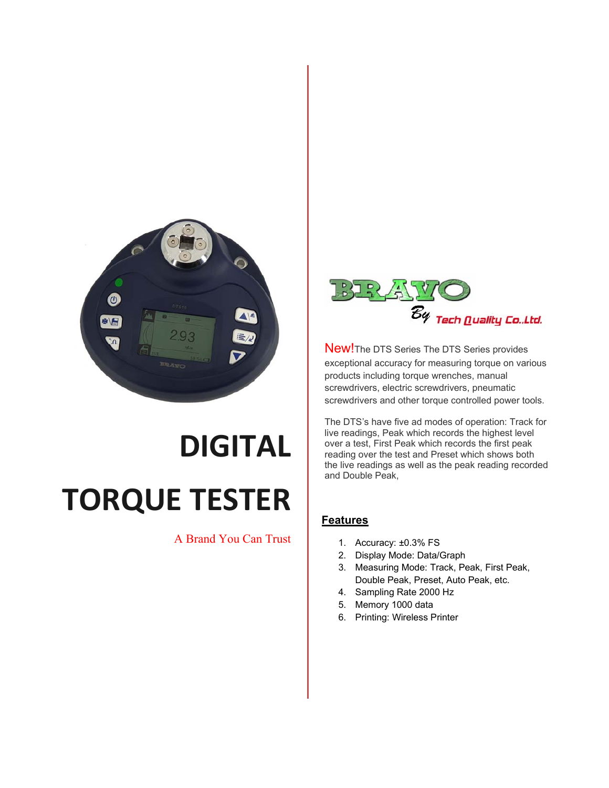

## **DIGITAL TORQUE TESTER**

## A Brand You Can Trust



New!The DTS Series The DTS Series provides exceptional accuracy for measuring torque on various products including torque wrenches, manual screwdrivers, electric screwdrivers, pneumatic screwdrivers and other torque controlled power tools.

The DTS's have five ad modes of operation: Track for live readings, Peak which records the highest level over a test, First Peak which records the first peak reading over the test and Preset which shows both the live readings as well as the peak reading recorded and Double Peak,

## **Features**

- 1. Accuracy: ±0.3% FS
- 2. Display Mode: Data/Graph
- 3. Measuring Mode: Track, Peak, First Peak, Double Peak, Preset, Auto Peak, etc.
- 4. Sampling Rate 2000 Hz
- 5. Memory 1000 data
- 6. Printing: Wireless Printer